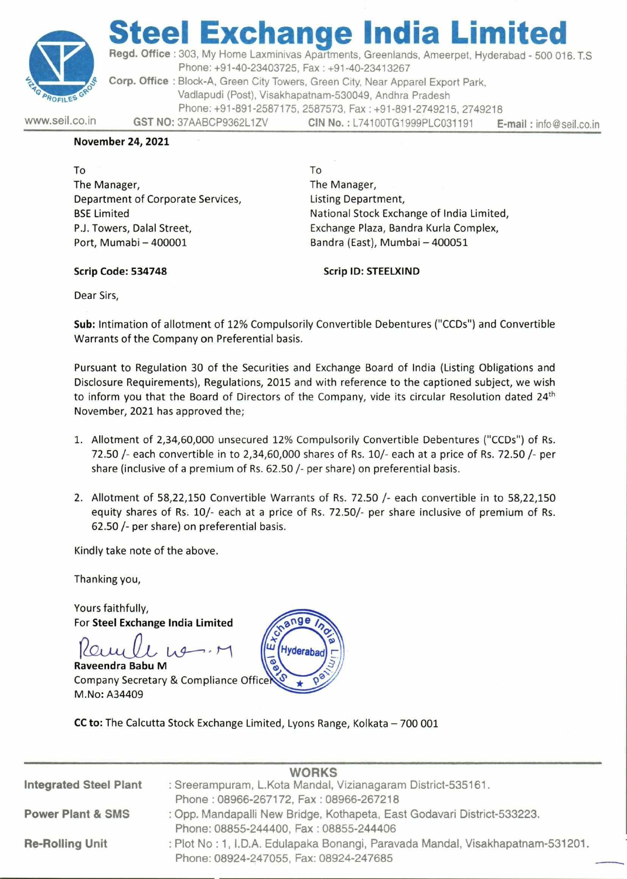

## teel Exchange India Lim Regd. Office : 303, My Home Laxminivas A<br>Phone: +91-40-23403725, Fa<br>Corp. Office : Block-A, Green City Towers, the Vadlapudi (Post), Visakhapat<br>Phone: +91-891-2587175, 25<br>WWW.seil.co.in GST NO: 37AABCP9362L1ZV

Regd. Office : 303, My Home Laxminivas Apartments, Greenlands, Ameerpet, Hyderabad - 500 016. T.S Phone: +91-40-23403725, Fax : +91-40-23413267 Corp. Office : Block-A, Green City Towers, Green City, Near Apparel Export Park,

Vadlapudi (Post), Visakhapatnam-530049, Andhra Pradesh

Phone: +91-891-2587175, 2587573, Fax : +91-891-2749215, 2749218

www.seil.co.in GST NO: 37AABCP9362L1ZV CIN No. : L74100TG1999PLC031191 E-mail : info@seil.co.in

## November 24, 2021

To To The Manager, The Manager, Department of Corporate Services, The Listing Department, Port, Mumabi — 400001 Bandra (East), Mumbai — 400051

BSE Limited **National Stock Exchange of India Limited**, P.J. Towers, Dalal Street, Exchange Plaza, Bandra Kurla Complex,

Scrip Code: 534748 Scrip ID: STEELXIND

Dear Sirs,

Sub: Intimation of allotment of 12% Compulsorily Convertible Debentures ("CCDs") and Convertible Warrants of the Company on Preferential basis.

Pursuant to Regulation 30 of the Securities and Exchange Board of India (Listing Obligations and Disclosure Requirements), Regulations, 2015 and with reference to the captioned subject, we wish to inform you that the Board of Directors of the Company, vide its circular Resolution dated 24<sup>th</sup> November, 2021 has approved the; Department of Corporate Services,<br>
BSE Limited<br>
P.J. Towers, Dalal Street,<br>
P.J. Towers, Dalal Street,<br>
Port, Mumabi – 400001<br>
Scrip Code: 534748<br>
Dear Sirs,<br>
Sub: Intimation of allottment of 12% Compulsorily<br>
Warrants of

- 1. Allotment of 2,34,60,000 unsecured 12% Compulsorily Convertible Debentures ("CCDs") of Rs. 72.50 /- each convertible in to 2,34,60,000 shares of Rs. 10/- each at a price of Rs. 72.50 /- per share (inclusive of a premium of Rs. 62.50 /- per share) on preferential basis.
- 2. Allotment of 58,22,150 Convertible Warrants of Rs. 72.50 /- each convertible in to 58,22,150 equity shares of Rs. 10/- each at a price of Rs. 72.50/- per share inclusive of premium of Rs. 62.50 /- per share) on preferential basis.

For Steel Exchange India Limited<br>Powy LL Lug



|  |                                                 | 1. Allotment of 2,34,60,000 unsecured 12% Compulsorily Convertible Debentures ("CCDs") of Rs.<br>72.50 /- each convertible in to 2,34,60,000 shares of Rs. 10/- each at a price of Rs. 72.50 /- per<br>share (inclusive of a premium of Rs. 62.50 /- per share) on preferential basis.<br>2. Allotment of 58,22,150 Convertible Warrants of Rs. 72.50 /- each convertible in to 58,22,150<br>equity shares of Rs. 10/- each at a price of Rs. 72.50/- per share inclusive of premium of Rs.<br>62.50 /- per share) on preferential basis. |  |
|--|-------------------------------------------------|-------------------------------------------------------------------------------------------------------------------------------------------------------------------------------------------------------------------------------------------------------------------------------------------------------------------------------------------------------------------------------------------------------------------------------------------------------------------------------------------------------------------------------------------|--|
|  |                                                 |                                                                                                                                                                                                                                                                                                                                                                                                                                                                                                                                           |  |
|  | Kindly take note of the above.<br>Thanking you, |                                                                                                                                                                                                                                                                                                                                                                                                                                                                                                                                           |  |
|  |                                                 |                                                                                                                                                                                                                                                                                                                                                                                                                                                                                                                                           |  |
|  | M.No: A34409                                    | Yours faithfully,<br>For Steel Exchange India Limited<br>Hyderabad<br>$\bullet$<br>Raveendra Babu M<br>Company Secretary & Compliance Officer<br>CC to: The Calcutta Stock Exchange Limited, Lyons Range, Kolkata - 700 001                                                                                                                                                                                                                                                                                                               |  |
|  | <b>Integrated Steel Plant</b>                   | <b>WORKS</b><br>: Sreerampuram, L.Kota Mandal, Vizianagaram District-535161.<br>Phone: 08966-267172, Fax: 08966-267218                                                                                                                                                                                                                                                                                                                                                                                                                    |  |
|  | <b>Power Plant &amp; SMS</b>                    | : Opp. Mandapalli New Bridge, Kothapeta, East Godavari District-533223.<br>Phone: 08855-244400, Fax: 08855-244406                                                                                                                                                                                                                                                                                                                                                                                                                         |  |
|  | <b>Re-Rolling Unit</b>                          | : Plot No: 1, I.D.A. Edulapaka Bonangi, Paravada Mandal, Visakhapatnam-531201.<br>Phone: 08924-247055, Fax: 08924-247685                                                                                                                                                                                                                                                                                                                                                                                                                  |  |
|  |                                                 |                                                                                                                                                                                                                                                                                                                                                                                                                                                                                                                                           |  |

J